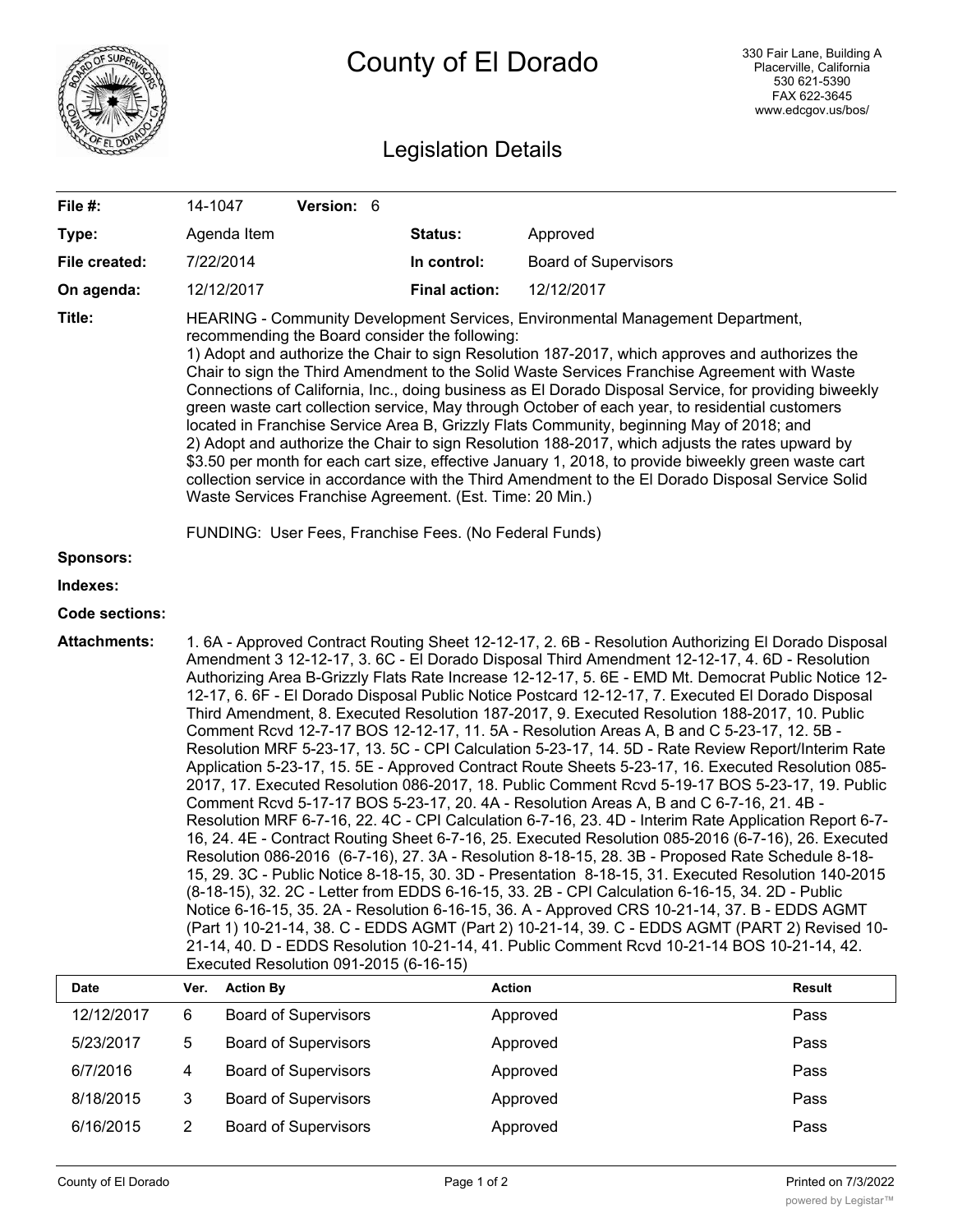|                       | County of El Dorado                                                                                                                                                                                                                                                                                                                                                                                                                                                                                                                                                                                                                                                                                                                                                                                                                                                                                                                                                                                                                                                                                                                                                                                                                                                                                                                                                                                                                                                                                                                                                                                                                                                                                                                                                                                                                                                                              |                             |                      | 330 Fair Lane, Building A<br>Placerville, California<br>530 621-5390<br>FAX 622-3645<br>www.edcgov.us/bos/ |        |
|-----------------------|--------------------------------------------------------------------------------------------------------------------------------------------------------------------------------------------------------------------------------------------------------------------------------------------------------------------------------------------------------------------------------------------------------------------------------------------------------------------------------------------------------------------------------------------------------------------------------------------------------------------------------------------------------------------------------------------------------------------------------------------------------------------------------------------------------------------------------------------------------------------------------------------------------------------------------------------------------------------------------------------------------------------------------------------------------------------------------------------------------------------------------------------------------------------------------------------------------------------------------------------------------------------------------------------------------------------------------------------------------------------------------------------------------------------------------------------------------------------------------------------------------------------------------------------------------------------------------------------------------------------------------------------------------------------------------------------------------------------------------------------------------------------------------------------------------------------------------------------------------------------------------------------------|-----------------------------|----------------------|------------------------------------------------------------------------------------------------------------|--------|
|                       | <b>Legislation Details</b>                                                                                                                                                                                                                                                                                                                                                                                                                                                                                                                                                                                                                                                                                                                                                                                                                                                                                                                                                                                                                                                                                                                                                                                                                                                                                                                                                                                                                                                                                                                                                                                                                                                                                                                                                                                                                                                                       |                             |                      |                                                                                                            |        |
| File #:               |                                                                                                                                                                                                                                                                                                                                                                                                                                                                                                                                                                                                                                                                                                                                                                                                                                                                                                                                                                                                                                                                                                                                                                                                                                                                                                                                                                                                                                                                                                                                                                                                                                                                                                                                                                                                                                                                                                  | Version: 6<br>14-1047       |                      |                                                                                                            |        |
| Type:                 |                                                                                                                                                                                                                                                                                                                                                                                                                                                                                                                                                                                                                                                                                                                                                                                                                                                                                                                                                                                                                                                                                                                                                                                                                                                                                                                                                                                                                                                                                                                                                                                                                                                                                                                                                                                                                                                                                                  | Agenda Item                 | Status:              | Approved                                                                                                   |        |
| File created:         |                                                                                                                                                                                                                                                                                                                                                                                                                                                                                                                                                                                                                                                                                                                                                                                                                                                                                                                                                                                                                                                                                                                                                                                                                                                                                                                                                                                                                                                                                                                                                                                                                                                                                                                                                                                                                                                                                                  | 7/22/2014                   | In control:          | <b>Board of Supervisors</b>                                                                                |        |
| On agenda:            |                                                                                                                                                                                                                                                                                                                                                                                                                                                                                                                                                                                                                                                                                                                                                                                                                                                                                                                                                                                                                                                                                                                                                                                                                                                                                                                                                                                                                                                                                                                                                                                                                                                                                                                                                                                                                                                                                                  | 12/12/2017                  | <b>Final action:</b> | 12/12/2017                                                                                                 |        |
| Title:                | HEARING - Community Development Services, Environmental Management Department,<br>recommending the Board consider the following:<br>1) Adopt and authorize the Chair to sign Resolution 187-2017, which approves and authorizes the<br>Chair to sign the Third Amendment to the Solid Waste Services Franchise Agreement with Waste<br>Connections of California, Inc., doing business as El Dorado Disposal Service, for providing biweekly<br>green waste cart collection service, May through October of each year, to residential customers<br>located in Franchise Service Area B, Grizzly Flats Community, beginning May of 2018; and<br>2) Adopt and authorize the Chair to sign Resolution 188-2017, which adjusts the rates upward by<br>\$3.50 per month for each cart size, effective January 1, 2018, to provide biweekly green waste cart<br>collection service in accordance with the Third Amendment to the El Dorado Disposal Service Solid<br>Waste Services Franchise Agreement. (Est. Time: 20 Min.)                                                                                                                                                                                                                                                                                                                                                                                                                                                                                                                                                                                                                                                                                                                                                                                                                                                                          |                             |                      |                                                                                                            |        |
| <b>Sponsors:</b>      | FUNDING: User Fees, Franchise Fees. (No Federal Funds)                                                                                                                                                                                                                                                                                                                                                                                                                                                                                                                                                                                                                                                                                                                                                                                                                                                                                                                                                                                                                                                                                                                                                                                                                                                                                                                                                                                                                                                                                                                                                                                                                                                                                                                                                                                                                                           |                             |                      |                                                                                                            |        |
| Indexes:              |                                                                                                                                                                                                                                                                                                                                                                                                                                                                                                                                                                                                                                                                                                                                                                                                                                                                                                                                                                                                                                                                                                                                                                                                                                                                                                                                                                                                                                                                                                                                                                                                                                                                                                                                                                                                                                                                                                  |                             |                      |                                                                                                            |        |
| <b>Code sections:</b> |                                                                                                                                                                                                                                                                                                                                                                                                                                                                                                                                                                                                                                                                                                                                                                                                                                                                                                                                                                                                                                                                                                                                                                                                                                                                                                                                                                                                                                                                                                                                                                                                                                                                                                                                                                                                                                                                                                  |                             |                      |                                                                                                            |        |
| <b>Attachments:</b>   | 1.6A - Approved Contract Routing Sheet 12-12-17, 2.6B - Resolution Authorizing El Dorado Disposal<br>Amendment 3 12-12-17, 3. 6C - El Dorado Disposal Third Amendment 12-12-17, 4. 6D - Resolution<br>Authorizing Area B-Grizzly Flats Rate Increase 12-12-17, 5. 6E - EMD Mt. Democrat Public Notice 12-<br>12-17, 6. 6F - El Dorado Disposal Public Notice Postcard 12-12-17, 7. Executed El Dorado Disposal<br>Third Amendment, 8. Executed Resolution 187-2017, 9. Executed Resolution 188-2017, 10. Public<br>Comment Rcvd 12-7-17 BOS 12-12-17, 11. 5A - Resolution Areas A, B and C 5-23-17, 12. 5B -<br>Resolution MRF 5-23-17, 13. 5C - CPI Calculation 5-23-17, 14. 5D - Rate Review Report/Interim Rate<br>Application 5-23-17, 15. 5E - Approved Contract Route Sheets 5-23-17, 16. Executed Resolution 085-<br>2017, 17. Executed Resolution 086-2017, 18. Public Comment Rcvd 5-19-17 BOS 5-23-17, 19. Public<br>Comment Rcvd 5-17-17 BOS 5-23-17, 20. 4A - Resolution Areas A, B and C 6-7-16, 21. 4B -<br>Resolution MRF 6-7-16, 22. 4C - CPI Calculation 6-7-16, 23. 4D - Interim Rate Application Report 6-7-<br>16, 24. 4E - Contract Routing Sheet 6-7-16, 25. Executed Resolution 085-2016 (6-7-16), 26. Executed<br>Resolution 086-2016 (6-7-16), 27. 3A - Resolution 8-18-15, 28. 3B - Proposed Rate Schedule 8-18-<br>15, 29. 3C - Public Notice 8-18-15, 30. 3D - Presentation 8-18-15, 31. Executed Resolution 140-2015<br>(8-18-15), 32. 2C - Letter from EDDS 6-16-15, 33. 2B - CPI Calculation 6-16-15, 34. 2D - Public<br>Notice 6-16-15, 35. 2A - Resolution 6-16-15, 36. A - Approved CRS 10-21-14, 37. B - EDDS AGMT<br>(Part 1) 10-21-14, 38. C - EDDS AGMT (Part 2) 10-21-14, 39. C - EDDS AGMT (PART 2) Revised 10-<br>21-14, 40. D - EDDS Resolution 10-21-14, 41. Public Comment Rcvd 10-21-14 BOS 10-21-14, 42.<br>Executed Resolution 091-2015 (6-16-15) |                             |                      |                                                                                                            |        |
| Date                  | Ver.                                                                                                                                                                                                                                                                                                                                                                                                                                                                                                                                                                                                                                                                                                                                                                                                                                                                                                                                                                                                                                                                                                                                                                                                                                                                                                                                                                                                                                                                                                                                                                                                                                                                                                                                                                                                                                                                                             | <b>Action By</b>            |                      | <b>Action</b>                                                                                              | Result |
| 12/12/2017            | 6                                                                                                                                                                                                                                                                                                                                                                                                                                                                                                                                                                                                                                                                                                                                                                                                                                                                                                                                                                                                                                                                                                                                                                                                                                                                                                                                                                                                                                                                                                                                                                                                                                                                                                                                                                                                                                                                                                | <b>Board of Supervisors</b> |                      | Approved                                                                                                   | Pass   |
| 5/23/2017             | 5                                                                                                                                                                                                                                                                                                                                                                                                                                                                                                                                                                                                                                                                                                                                                                                                                                                                                                                                                                                                                                                                                                                                                                                                                                                                                                                                                                                                                                                                                                                                                                                                                                                                                                                                                                                                                                                                                                | <b>Board of Supervisors</b> |                      | Approved                                                                                                   | Pass   |
| 6/7/2016              | 4                                                                                                                                                                                                                                                                                                                                                                                                                                                                                                                                                                                                                                                                                                                                                                                                                                                                                                                                                                                                                                                                                                                                                                                                                                                                                                                                                                                                                                                                                                                                                                                                                                                                                                                                                                                                                                                                                                | <b>Board of Supervisors</b> |                      | Approved                                                                                                   | Pass   |

8/18/2015 3 Board of Supervisors Approved Approved 6/16/2015 2 Board of Supervisors Approved Approved